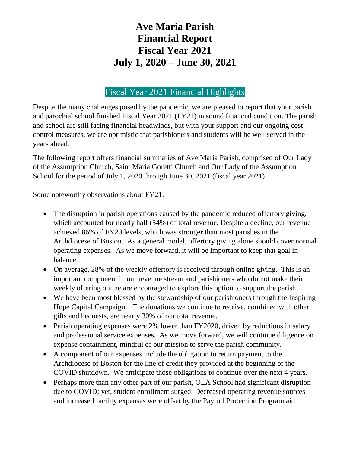# **Ave Maria Parish Financial Report Fiscal Year 2021 July 1, 2020 – June 30, 2021**

### Fiscal Year 2021 Financial Highlights

Despite the many challenges posed by the pandemic, we are pleased to report that your parish and parochial school finished Fiscal Year 2021 (FY21) in sound financial condition. The parish and school are still facing financial headwinds, but with your support and our ongoing cost control measures, we are optimistic that parishioners and students will be well served in the years ahead.

The following report offers financial summaries of Ave Maria Parish, comprised of Our Lady of the Assumption Church, Saint Maria Goretti Church and Our Lady of the Assumption School for the period of July 1, 2020 through June 30, 2021 (fiscal year 2021).

Some noteworthy observations about FY21:

- The disruption in parish operations caused by the pandemic reduced offertory giving, which accounted for nearly half (54%) of total revenue. Despite a decline, our revenue achieved 86% of FY20 levels, which was stronger than most parishes in the Archdiocese of Boston. As a general model, offertory giving alone should cover normal operating expenses. As we move forward, it will be important to keep that goal in balance.
- On average, 28% of the weekly offertory is received through online giving. This is an important component in our revenue stream and parishioners who do not make their weekly offering online are encouraged to explore this option to support the parish.
- We have been most blessed by the stewardship of our parishioners through the Inspiring Hope Capital Campaign. The donations we continue to receive, combined with other gifts and bequests, are nearly 30% of our total revenue.
- Parish operating expenses were 2% lower than FY2020, driven by reductions in salary and professional service expenses. As we move forward, we will continue diligence on expense containment, mindful of our mission to serve the parish community.
- A component of our expenses include the obligation to return payment to the Archdiocese of Boston for the line of credit they provided at the beginning of the COVID shutdown. We anticipate those obligations to continue over the next 4 years.
- Perhaps more than any other part of our parish, OLA School had significant disruption due to COVID; yet, student enrollment surged. Decreased operating revenue sources and increased facility expenses were offset by the Payroll Protection Program aid.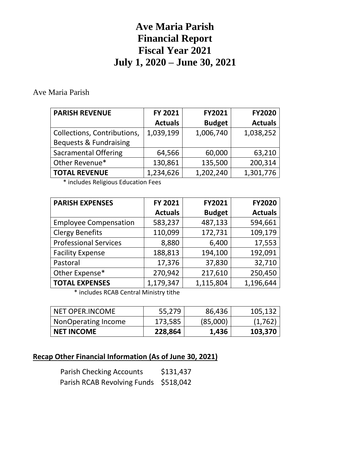# **Ave Maria Parish Financial Report Fiscal Year 2021 July 1, 2020 – June 30, 2021**

#### Ave Maria Parish

| <b>PARISH REVENUE</b>             | FY 2021        | <b>FY2021</b> | <b>FY2020</b>  |
|-----------------------------------|----------------|---------------|----------------|
|                                   | <b>Actuals</b> | <b>Budget</b> | <b>Actuals</b> |
| Collections, Contributions,       | 1,039,199      | 1,006,740     | 1,038,252      |
| <b>Bequests &amp; Fundraising</b> |                |               |                |
| <b>Sacramental Offering</b>       | 64,566         | 60,000        | 63,210         |
| Other Revenue*                    | 130,861        | 135,500       | 200,314        |
| <b>TOTAL REVENUE</b>              | 1,234,626      | 1,202,240     | 1,301,776      |

\* includes Religious Education Fees

| <b>PARISH EXPENSES</b>       | FY 2021        | <b>FY2021</b> | <b>FY2020</b>  |
|------------------------------|----------------|---------------|----------------|
|                              | <b>Actuals</b> | <b>Budget</b> | <b>Actuals</b> |
| <b>Employee Compensation</b> | 583,237        | 487,133       | 594,661        |
| <b>Clergy Benefits</b>       | 110,099        | 172,731       | 109,179        |
| <b>Professional Services</b> | 8,880          | 6,400         | 17,553         |
| <b>Facility Expense</b>      | 188,813        | 194,100       | 192,091        |
| Pastoral                     | 17,376         | 37,830        | 32,710         |
| Other Expense*               | 270,942        | 217,610       | 250,450        |
| <b>TOTAL EXPENSES</b>        | 1,179,347      | 1,115,804     | 1,196,644      |
|                              |                |               |                |

\* includes RCAB Central Ministry tithe

| NET OPER.INCOME     | 55,279  | 86,436   | 105,132 |
|---------------------|---------|----------|---------|
| NonOperating Income | 173,585 | (85,000) | (1,762) |
| <b>NET INCOME</b>   | 228,864 | 1,436    | 103,370 |

#### **Recap Other Financial Information (As of June 30, 2021)**

| <b>Parish Checking Accounts</b>       | \$131,437 |
|---------------------------------------|-----------|
| Parish RCAB Revolving Funds \$518,042 |           |